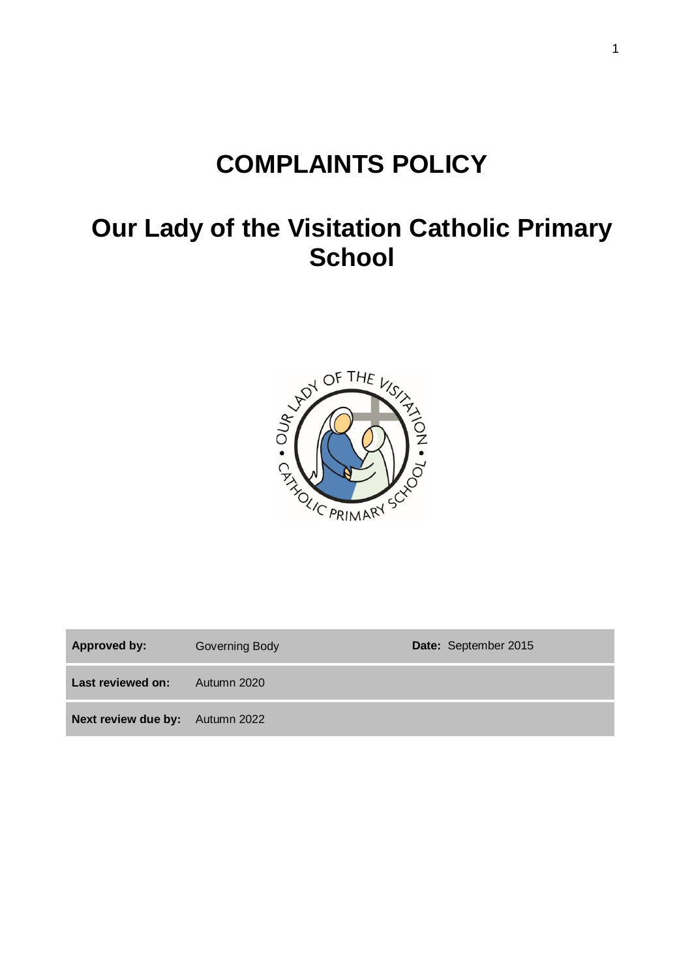# **COMPLAINTS POLICY**

## **Our Lady of the Visitation Catholic Primary School**



| Approved by:                           | Governing Body | Date: September 2015 |
|----------------------------------------|----------------|----------------------|
| Last reviewed on:                      | Autumn 2020    |                      |
| <b>Next review due by:</b> Autumn 2022 |                |                      |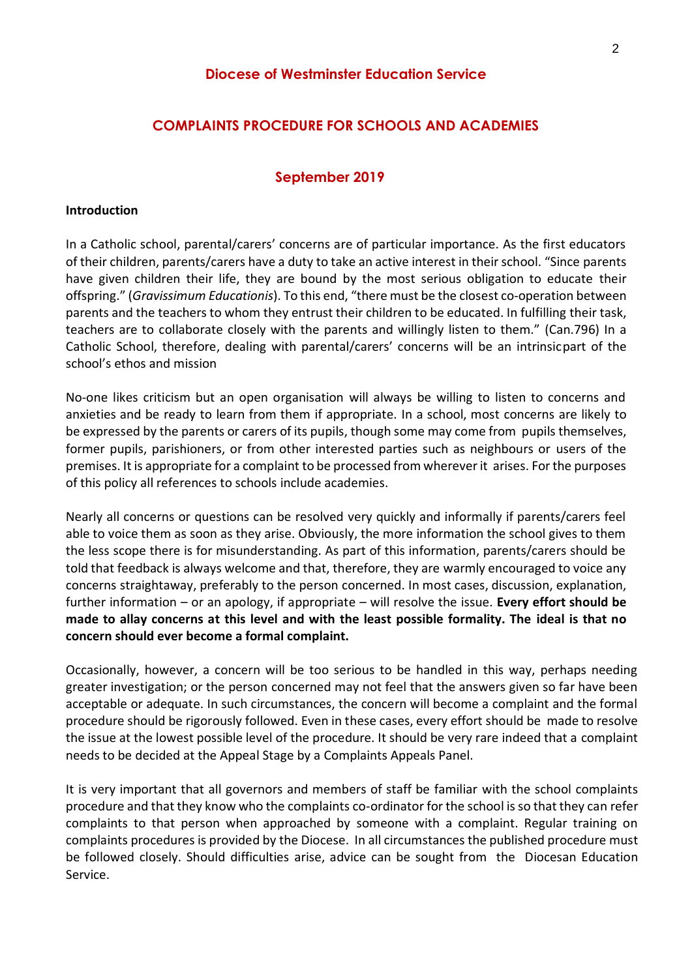## **Diocese of Westminster Education Service**

## **COMPLAINTS PROCEDURE FOR SCHOOLS AND ACADEMIES**

#### **September 2019**

#### **Introduction**

In a Catholic school, parental/carers' concerns are of particular importance. As the first educators of their children, parents/carers have a duty to take an active interest in their school. "Since parents have given children their life, they are bound by the most serious obligation to educate their offspring." (*Gravissimum Educationis*). To this end, "there must be the closest co-operation between parents and the teachers to whom they entrust their children to be educated. In fulfilling their task, teachers are to collaborate closely with the parents and willingly listen to them." (Can.796) In a Catholic School, therefore, dealing with parental/carers' concerns will be an intrinsicpart of the school's ethos and mission

No-one likes criticism but an open organisation will always be willing to listen to concerns and anxieties and be ready to learn from them if appropriate. In a school, most concerns are likely to be expressed by the parents or carers of its pupils, though some may come from pupils themselves, former pupils, parishioners, or from other interested parties such as neighbours or users of the premises. It is appropriate for a complaint to be processed from wherever it arises. For the purposes of this policy all references to schools include academies.

Nearly all concerns or questions can be resolved very quickly and informally if parents/carers feel able to voice them as soon as they arise. Obviously, the more information the school gives to them the less scope there is for misunderstanding. As part of this information, parents/carers should be told that feedback is always welcome and that, therefore, they are warmly encouraged to voice any concerns straightaway, preferably to the person concerned. In most cases, discussion, explanation, further information – or an apology, if appropriate – will resolve the issue. **Every effort should be made to allay concerns at this level and with the least possible formality. The ideal is that no concern should ever become a formal complaint.**

Occasionally, however, a concern will be too serious to be handled in this way, perhaps needing greater investigation; or the person concerned may not feel that the answers given so far have been acceptable or adequate. In such circumstances, the concern will become a complaint and the formal procedure should be rigorously followed. Even in these cases, every effort should be made to resolve the issue at the lowest possible level of the procedure. It should be very rare indeed that a complaint needs to be decided at the Appeal Stage by a Complaints Appeals Panel.

It is very important that all governors and members of staff be familiar with the school complaints procedure and that they know who the complaints co-ordinator for the school is so that they can refer complaints to that person when approached by someone with a complaint. Regular training on complaints procedures is provided by the Diocese. In all circumstances the published procedure must be followed closely. Should difficulties arise, advice can be sought from the Diocesan Education Service.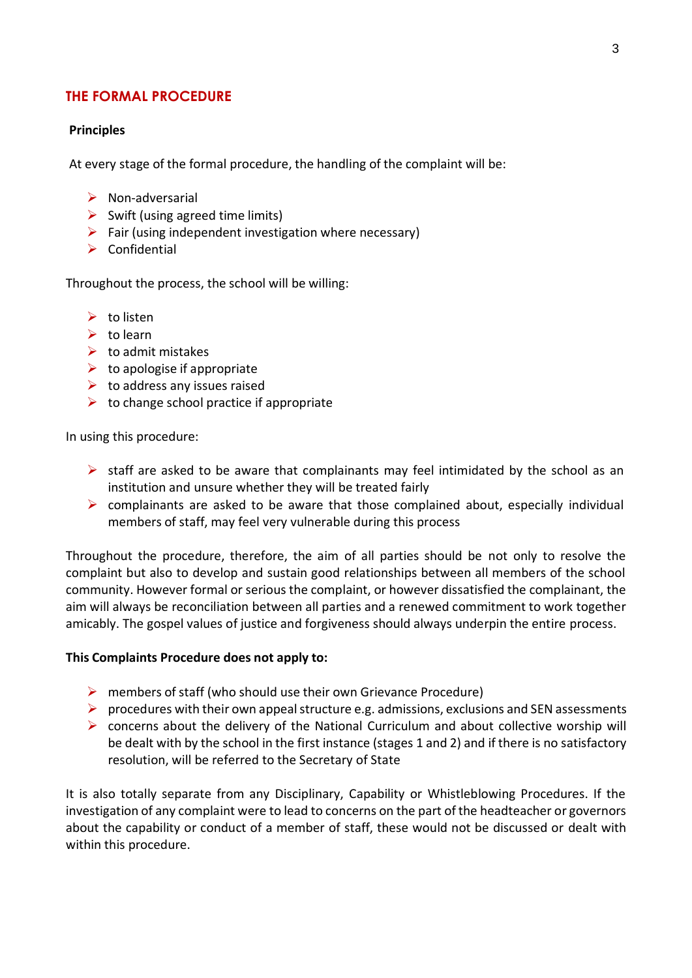## **THE FORMAL PROCEDURE**

## **Principles**

At every stage of the formal procedure, the handling of the complaint will be:

- $\triangleright$  Non-adversarial
- $\triangleright$  Swift (using agreed time limits)
- $\triangleright$  Fair (using independent investigation where necessary)
- $\triangleright$  Confidential

Throughout the process, the school will be willing:

- $\triangleright$  to listen
- $\triangleright$  to learn
- $\triangleright$  to admit mistakes
- $\triangleright$  to apologise if appropriate
- $\triangleright$  to address any issues raised
- $\triangleright$  to change school practice if appropriate

In using this procedure:

- $\triangleright$  staff are asked to be aware that complainants may feel intimidated by the school as an institution and unsure whether they will be treated fairly
- $\triangleright$  complainants are asked to be aware that those complained about, especially individual members of staff, may feel very vulnerable during this process

Throughout the procedure, therefore, the aim of all parties should be not only to resolve the complaint but also to develop and sustain good relationships between all members of the school community. However formal or serious the complaint, or however dissatisfied the complainant, the aim will always be reconciliation between all parties and a renewed commitment to work together amicably. The gospel values of justice and forgiveness should always underpin the entire process.

## **This Complaints Procedure does not apply to:**

- $\triangleright$  members of staff (who should use their own Grievance Procedure)
- $\triangleright$  procedures with their own appeal structure e.g. admissions, exclusions and SEN assessments
- $\triangleright$  concerns about the delivery of the National Curriculum and about collective worship will be dealt with by the school in the first instance (stages 1 and 2) and if there is no satisfactory resolution, will be referred to the Secretary of State

It is also totally separate from any Disciplinary, Capability or Whistleblowing Procedures. If the investigation of any complaint were to lead to concerns on the part of the headteacher or governors about the capability or conduct of a member of staff, these would not be discussed or dealt with within this procedure.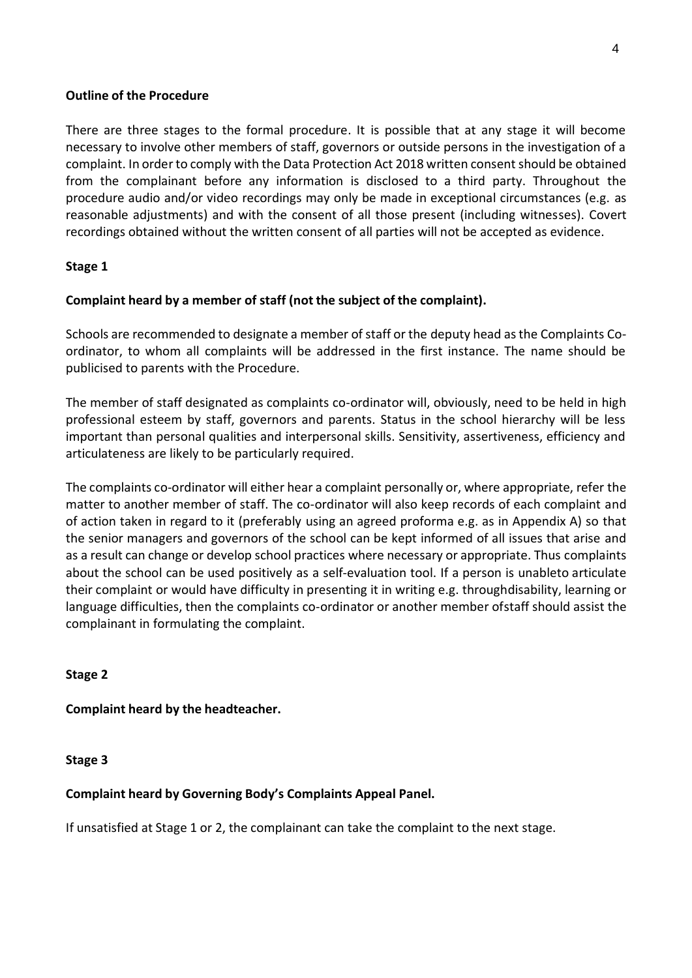#### **Outline of the Procedure**

There are three stages to the formal procedure. It is possible that at any stage it will become necessary to involve other members of staff, governors or outside persons in the investigation of a complaint. In order to comply with the Data Protection Act 2018 written consent should be obtained from the complainant before any information is disclosed to a third party. Throughout the procedure audio and/or video recordings may only be made in exceptional circumstances (e.g. as reasonable adjustments) and with the consent of all those present (including witnesses). Covert recordings obtained without the written consent of all parties will not be accepted as evidence.

## **Stage 1**

## **Complaint heard by a member of staff (not the subject of the complaint).**

Schools are recommended to designate a member of staff or the deputy head as the Complaints Coordinator, to whom all complaints will be addressed in the first instance. The name should be publicised to parents with the Procedure.

The member of staff designated as complaints co-ordinator will, obviously, need to be held in high professional esteem by staff, governors and parents. Status in the school hierarchy will be less important than personal qualities and interpersonal skills. Sensitivity, assertiveness, efficiency and articulateness are likely to be particularly required.

The complaints co-ordinator will either hear a complaint personally or, where appropriate, refer the matter to another member of staff. The co-ordinator will also keep records of each complaint and of action taken in regard to it (preferably using an agreed proforma e.g. as in Appendix A) so that the senior managers and governors of the school can be kept informed of all issues that arise and as a result can change or develop school practices where necessary or appropriate. Thus complaints about the school can be used positively as a self-evaluation tool. If a person is unableto articulate their complaint or would have difficulty in presenting it in writing e.g. throughdisability, learning or language difficulties, then the complaints co-ordinator or another member ofstaff should assist the complainant in formulating the complaint.

## **Stage 2**

## **Complaint heard by the headteacher.**

## **Stage 3**

## **Complaint heard by Governing Body's Complaints Appeal Panel.**

If unsatisfied at Stage 1 or 2, the complainant can take the complaint to the next stage.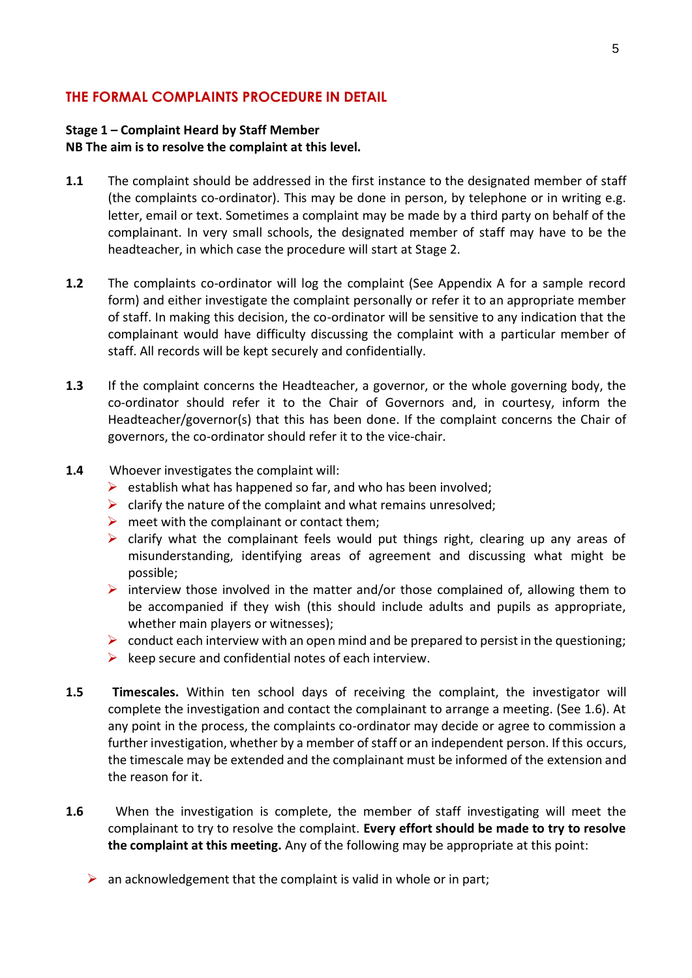## **THE FORMAL COMPLAINTS PROCEDURE IN DETAIL**

## **Stage 1 – Complaint Heard by Staff Member NB The aim is to resolve the complaint at this level.**

- **1.1** The complaint should be addressed in the first instance to the designated member of staff (the complaints co-ordinator). This may be done in person, by telephone or in writing e.g. letter, email or text. Sometimes a complaint may be made by a third party on behalf of the complainant. In very small schools, the designated member of staff may have to be the headteacher, in which case the procedure will start at Stage 2.
- **1.2** The complaints co-ordinator will log the complaint (See Appendix A for a sample record form) and either investigate the complaint personally or refer it to an appropriate member of staff. In making this decision, the co-ordinator will be sensitive to any indication that the complainant would have difficulty discussing the complaint with a particular member of staff. All records will be kept securely and confidentially.
- **1.3** If the complaint concerns the Headteacher, a governor, or the whole governing body, the co-ordinator should refer it to the Chair of Governors and, in courtesy, inform the Headteacher/governor(s) that this has been done. If the complaint concerns the Chair of governors, the co-ordinator should refer it to the vice-chair.
- **1.4** Whoever investigates the complaint will:
	- $\triangleright$  establish what has happened so far, and who has been involved;
	- $\triangleright$  clarify the nature of the complaint and what remains unresolved;
	- $\triangleright$  meet with the complainant or contact them;
	- $\triangleright$  clarify what the complainant feels would put things right, clearing up any areas of misunderstanding, identifying areas of agreement and discussing what might be possible;
	- $\triangleright$  interview those involved in the matter and/or those complained of, allowing them to be accompanied if they wish (this should include adults and pupils as appropriate, whether main players or witnesses);
	- $\triangleright$  conduct each interview with an open mind and be prepared to persist in the questioning;
	- $\triangleright$  keep secure and confidential notes of each interview.
- **1.5 Timescales.** Within ten school days of receiving the complaint, the investigator will complete the investigation and contact the complainant to arrange a meeting. (See 1.6). At any point in the process, the complaints co-ordinator may decide or agree to commission a further investigation, whether by a member of staff or an independent person. If this occurs, the timescale may be extended and the complainant must be informed of the extension and the reason for it.
- **1.6** When the investigation is complete, the member of staff investigating will meet the complainant to try to resolve the complaint. **Every effort should be made to try to resolve the complaint at this meeting.** Any of the following may be appropriate at this point:
	- $\triangleright$  an acknowledgement that the complaint is valid in whole or in part;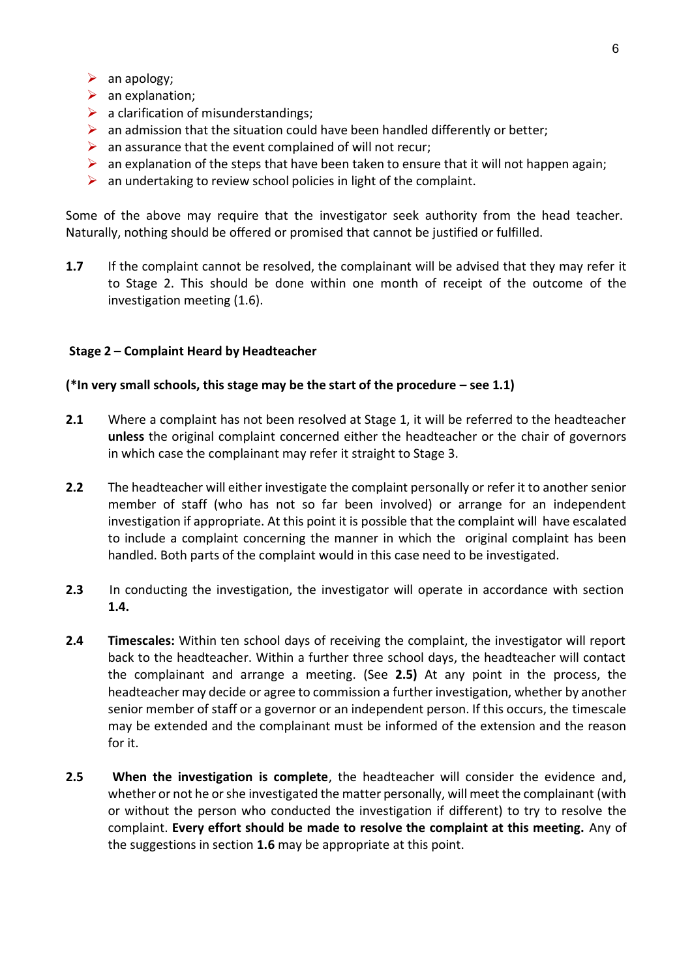- $\triangleright$  an apology;
- $\triangleright$  an explanation:
- $\triangleright$  a clarification of misunderstandings;
- $\triangleright$  an admission that the situation could have been handled differently or better;
- $\triangleright$  an assurance that the event complained of will not recur;
- $\triangleright$  an explanation of the steps that have been taken to ensure that it will not happen again;
- $\triangleright$  an undertaking to review school policies in light of the complaint.

Some of the above may require that the investigator seek authority from the head teacher. Naturally, nothing should be offered or promised that cannot be justified or fulfilled.

**1.7** If the complaint cannot be resolved, the complainant will be advised that they may refer it to Stage 2. This should be done within one month of receipt of the outcome of the investigation meeting (1.6).

## **Stage 2 – Complaint Heard by Headteacher**

#### **(\*In very small schools, this stage may be the start of the procedure – see 1.1)**

- **2.1** Where a complaint has not been resolved at Stage 1, it will be referred to the headteacher **unless** the original complaint concerned either the headteacher or the chair of governors in which case the complainant may refer it straight to Stage 3.
- **2.2** The headteacher will either investigate the complaint personally or refer it to another senior member of staff (who has not so far been involved) or arrange for an independent investigation if appropriate. At this point it is possible that the complaint will have escalated to include a complaint concerning the manner in which the original complaint has been handled. Both parts of the complaint would in this case need to be investigated.
- **2.3** In conducting the investigation, the investigator will operate in accordance with section **1.4.**
- **2.4 Timescales:** Within ten school days of receiving the complaint, the investigator will report back to the headteacher. Within a further three school days, the headteacher will contact the complainant and arrange a meeting. (See **2.5)** At any point in the process, the headteacher may decide or agree to commission a further investigation, whether by another senior member of staff or a governor or an independent person. If this occurs, the timescale may be extended and the complainant must be informed of the extension and the reason for it.
- **2.5 When the investigation is complete**, the headteacher will consider the evidence and, whether or not he or she investigated the matter personally, will meet the complainant (with or without the person who conducted the investigation if different) to try to resolve the complaint. **Every effort should be made to resolve the complaint at this meeting.** Any of the suggestions in section **1.6** may be appropriate at this point.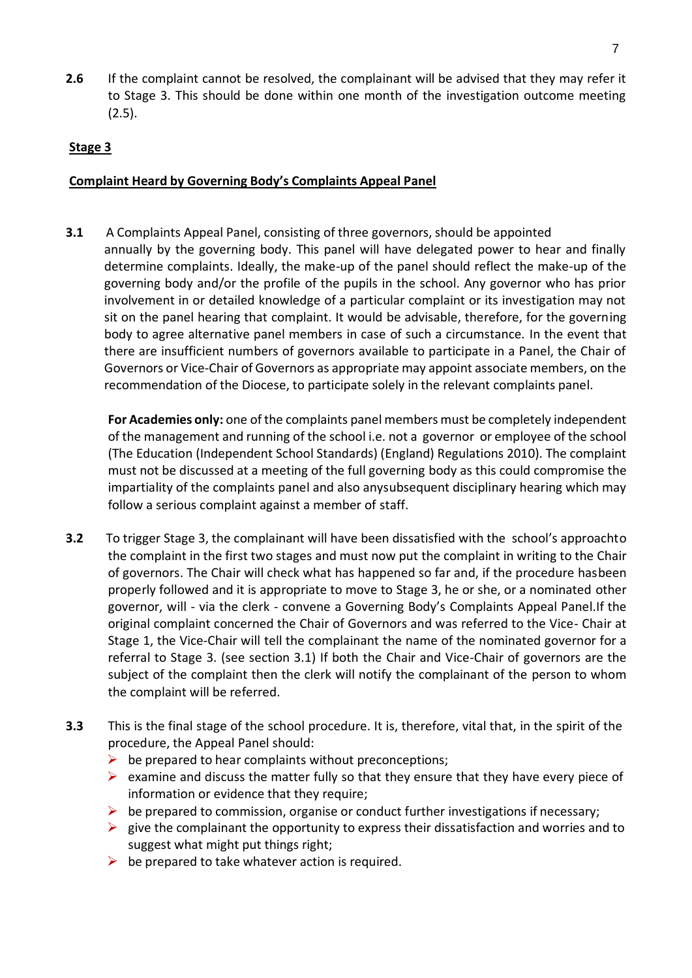**2.6** If the complaint cannot be resolved, the complainant will be advised that they may refer it to Stage 3. This should be done within one month of the investigation outcome meeting (2.5).

## **Stage 3**

## **Complaint Heard by Governing Body's Complaints Appeal Panel**

**3.1** A Complaints Appeal Panel, consisting of three governors, should be appointed annually by the governing body. This panel will have delegated power to hear and finally determine complaints. Ideally, the make-up of the panel should reflect the make-up of the governing body and/or the profile of the pupils in the school. Any governor who has prior involvement in or detailed knowledge of a particular complaint or its investigation may not sit on the panel hearing that complaint. It would be advisable, therefore, for the governing body to agree alternative panel members in case of such a circumstance. In the event that there are insufficient numbers of governors available to participate in a Panel, the Chair of Governors or Vice-Chair of Governors as appropriate may appoint associate members, on the recommendation of the Diocese, to participate solely in the relevant complaints panel.

**For Academies only:** one of the complaints panel members must be completely independent of the management and running of the school i.e. not a governor or employee of the school (The Education (Independent School Standards) (England) Regulations 2010). The complaint must not be discussed at a meeting of the full governing body as this could compromise the impartiality of the complaints panel and also anysubsequent disciplinary hearing which may follow a serious complaint against a member of staff.

- **3.2** To trigger Stage 3, the complainant will have been dissatisfied with the school's approachto the complaint in the first two stages and must now put the complaint in writing to the Chair of governors. The Chair will check what has happened so far and, if the procedure hasbeen properly followed and it is appropriate to move to Stage 3, he or she, or a nominated other governor, will - via the clerk - convene a Governing Body's Complaints Appeal Panel.If the original complaint concerned the Chair of Governors and was referred to the Vice- Chair at Stage 1, the Vice-Chair will tell the complainant the name of the nominated governor for a referral to Stage 3. (see section 3.1) If both the Chair and Vice-Chair of governors are the subject of the complaint then the clerk will notify the complainant of the person to whom the complaint will be referred.
- **3.3** This is the final stage of the school procedure. It is, therefore, vital that, in the spirit of the procedure, the Appeal Panel should:
	- $\triangleright$  be prepared to hear complaints without preconceptions;
	- $\triangleright$  examine and discuss the matter fully so that they ensure that they have every piece of information or evidence that they require;
	- $\triangleright$  be prepared to commission, organise or conduct further investigations if necessary;
	- $\triangleright$  give the complainant the opportunity to express their dissatisfaction and worries and to suggest what might put things right;
	- $\triangleright$  be prepared to take whatever action is required.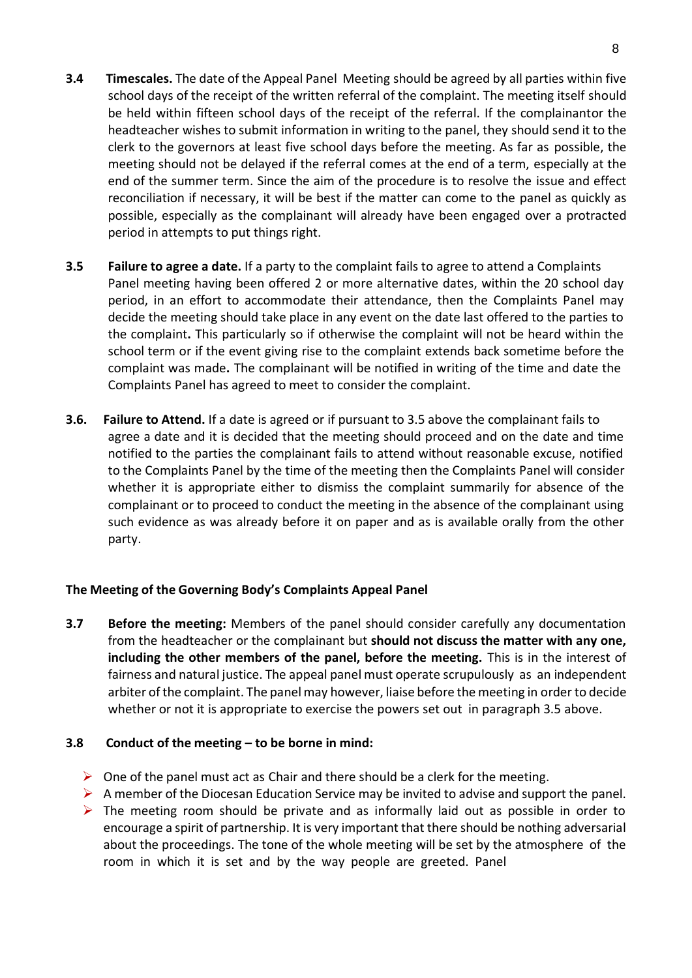- **3.4 Timescales.** The date of the Appeal Panel Meeting should be agreed by all parties within five school days of the receipt of the written referral of the complaint. The meeting itself should be held within fifteen school days of the receipt of the referral. If the complainantor the headteacher wishes to submit information in writing to the panel, they should send it to the clerk to the governors at least five school days before the meeting. As far as possible, the meeting should not be delayed if the referral comes at the end of a term, especially at the end of the summer term. Since the aim of the procedure is to resolve the issue and effect reconciliation if necessary, it will be best if the matter can come to the panel as quickly as possible, especially as the complainant will already have been engaged over a protracted period in attempts to put things right.
- **3.5 Failure to agree a date.** If a party to the complaint fails to agree to attend a Complaints Panel meeting having been offered 2 or more alternative dates, within the 20 school day period, in an effort to accommodate their attendance, then the Complaints Panel may decide the meeting should take place in any event on the date last offered to the parties to the complaint**.** This particularly so if otherwise the complaint will not be heard within the school term or if the event giving rise to the complaint extends back sometime before the complaint was made**.** The complainant will be notified in writing of the time and date the Complaints Panel has agreed to meet to consider the complaint.
- **3.6. Failure to Attend.** If a date is agreed or if pursuant to 3.5 above the complainant fails to agree a date and it is decided that the meeting should proceed and on the date and time notified to the parties the complainant fails to attend without reasonable excuse, notified to the Complaints Panel by the time of the meeting then the Complaints Panel will consider whether it is appropriate either to dismiss the complaint summarily for absence of the complainant or to proceed to conduct the meeting in the absence of the complainant using such evidence as was already before it on paper and as is available orally from the other party.

## **The Meeting of the Governing Body's Complaints Appeal Panel**

**3.7 Before the meeting:** Members of the panel should consider carefully any documentation from the headteacher or the complainant but **should not discuss the matter with any one, including the other members of the panel, before the meeting.** This is in the interest of fairness and natural justice. The appeal panel must operate scrupulously as an independent arbiter of the complaint. The panel may however, liaise before the meeting in order to decide whether or not it is appropriate to exercise the powers set out in paragraph 3.5 above.

## **3.8 Conduct of the meeting – to be borne in mind:**

- $\triangleright$  One of the panel must act as Chair and there should be a clerk for the meeting.
- $\triangleright$  A member of the Diocesan Education Service may be invited to advise and support the panel.
- $\triangleright$  The meeting room should be private and as informally laid out as possible in order to encourage a spirit of partnership. It is very important that there should be nothing adversarial about the proceedings. The tone of the whole meeting will be set by the atmosphere of the room in which it is set and by the way people are greeted. Panel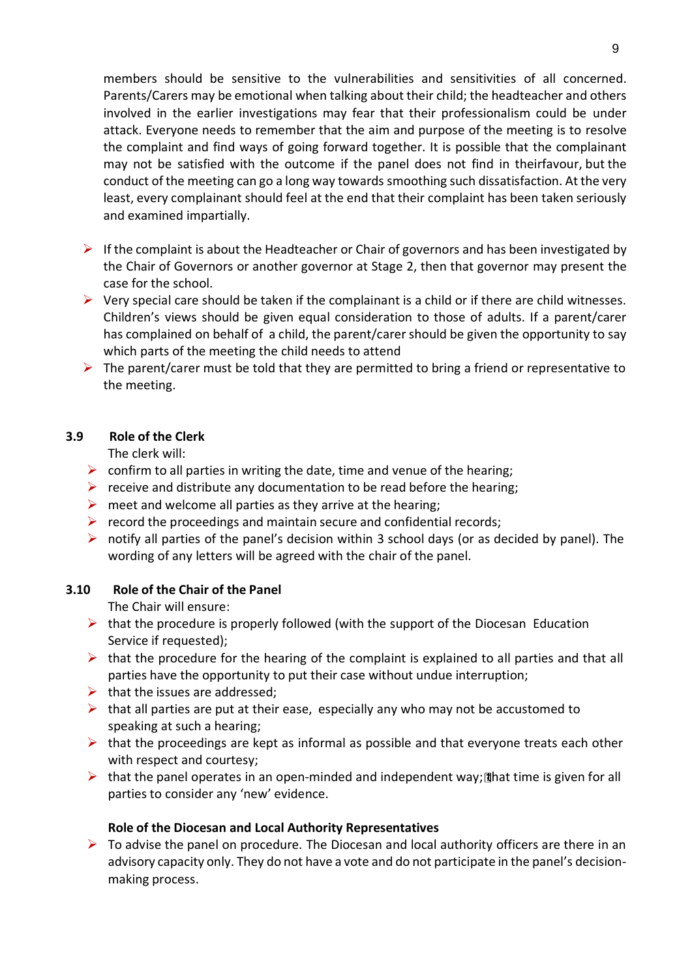members should be sensitive to the vulnerabilities and sensitivities of all concerned. Parents/Carers may be emotional when talking about their child; the headteacher and others involved in the earlier investigations may fear that their professionalism could be under attack. Everyone needs to remember that the aim and purpose of the meeting is to resolve the complaint and find ways of going forward together. It is possible that the complainant may not be satisfied with the outcome if the panel does not find in theirfavour, but the conduct of the meeting can go a long way towards smoothing such dissatisfaction. At the very least, every complainant should feel at the end that their complaint has been taken seriously and examined impartially.

- If the complaint is about the Headteacher or Chair of governors and has been investigated by the Chair of Governors or another governor at Stage 2, then that governor may present the case for the school.
- $\triangleright$  Very special care should be taken if the complainant is a child or if there are child witnesses. Children's views should be given equal consideration to those of adults. If a parent/carer has complained on behalf of a child, the parent/carer should be given the opportunity to say which parts of the meeting the child needs to attend
- $\triangleright$  The parent/carer must be told that they are permitted to bring a friend or representative to the meeting.

## **3.9 Role of the Clerk**

The clerk will:

- $\triangleright$  confirm to all parties in writing the date, time and venue of the hearing;
- $\triangleright$  receive and distribute any documentation to be read before the hearing;
- $\triangleright$  meet and welcome all parties as they arrive at the hearing;
- $\triangleright$  record the proceedings and maintain secure and confidential records;
- $\triangleright$  notify all parties of the panel's decision within 3 school days (or as decided by panel). The wording of any letters will be agreed with the chair of the panel.

## **3.10 Role of the Chair of the Panel**

The Chair will ensure:

- $\triangleright$  that the procedure is properly followed (with the support of the Diocesan Education Service if requested);
- $\triangleright$  that the procedure for the hearing of the complaint is explained to all parties and that all parties have the opportunity to put their case without undue interruption;
- $\triangleright$  that the issues are addressed;
- $\triangleright$  that all parties are put at their ease, especially any who may not be accustomed to speaking at such a hearing;
- $\triangleright$  that the proceedings are kept as informal as possible and that everyone treats each other with respect and courtesy;
- $\triangleright$  that the panel operates in an open-minded and independent way; it time is given for all parties to consider any 'new' evidence.

## **Role of the Diocesan and Local Authority Representatives**

 $\triangleright$  To advise the panel on procedure. The Diocesan and local authority officers are there in an advisory capacity only. They do not have a vote and do not participate in the panel's decisionmaking process.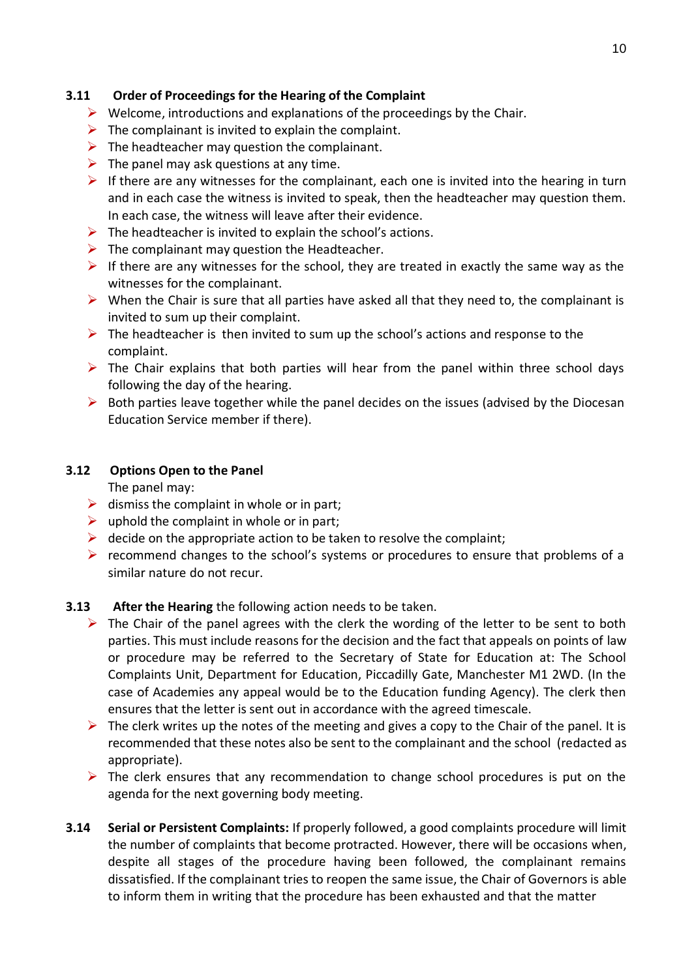## **3.11 Order of Proceedings for the Hearing of the Complaint**

- $\triangleright$  Welcome, introductions and explanations of the proceedings by the Chair.
- $\triangleright$  The complainant is invited to explain the complaint.
- $\triangleright$  The headteacher may question the complainant.
- $\triangleright$  The panel may ask questions at any time.
- If there are any witnesses for the complainant, each one is invited into the hearing in turn and in each case the witness is invited to speak, then the headteacher may question them. In each case, the witness will leave after their evidence.
- $\triangleright$  The headteacher is invited to explain the school's actions.
- $\triangleright$  The complainant may question the Headteacher.
- $\triangleright$  If there are any witnesses for the school, they are treated in exactly the same way as the witnesses for the complainant.
- $\triangleright$  When the Chair is sure that all parties have asked all that they need to, the complainant is invited to sum up their complaint.
- $\triangleright$  The headteacher is then invited to sum up the school's actions and response to the complaint.
- $\triangleright$  The Chair explains that both parties will hear from the panel within three school days following the day of the hearing.
- $\triangleright$  Both parties leave together while the panel decides on the issues (advised by the Diocesan Education Service member if there).

## **3.12 Options Open to the Panel**

The panel may:

- $\triangleright$  dismiss the complaint in whole or in part:
- $\triangleright$  uphold the complaint in whole or in part;
- $\triangleright$  decide on the appropriate action to be taken to resolve the complaint;
- $\triangleright$  recommend changes to the school's systems or procedures to ensure that problems of a similar nature do not recur.

## **3.13 After the Hearing** the following action needs to be taken.

- $\triangleright$  The Chair of the panel agrees with the clerk the wording of the letter to be sent to both parties. This must include reasons for the decision and the fact that appeals on points of law or procedure may be referred to the Secretary of State for Education at: The School Complaints Unit, Department for Education, Piccadilly Gate, Manchester M1 2WD. (In the case of Academies any appeal would be to the Education funding Agency). The clerk then ensures that the letter is sent out in accordance with the agreed timescale.
- $\triangleright$  The clerk writes up the notes of the meeting and gives a copy to the Chair of the panel. It is recommended that these notes also be sent to the complainant and the school (redacted as appropriate).
- $\triangleright$  The clerk ensures that any recommendation to change school procedures is put on the agenda for the next governing body meeting.
- **3.14 Serial or Persistent Complaints:** If properly followed, a good complaints procedure will limit the number of complaints that become protracted. However, there will be occasions when, despite all stages of the procedure having been followed, the complainant remains dissatisfied. If the complainant tries to reopen the same issue, the Chair of Governors is able to inform them in writing that the procedure has been exhausted and that the matter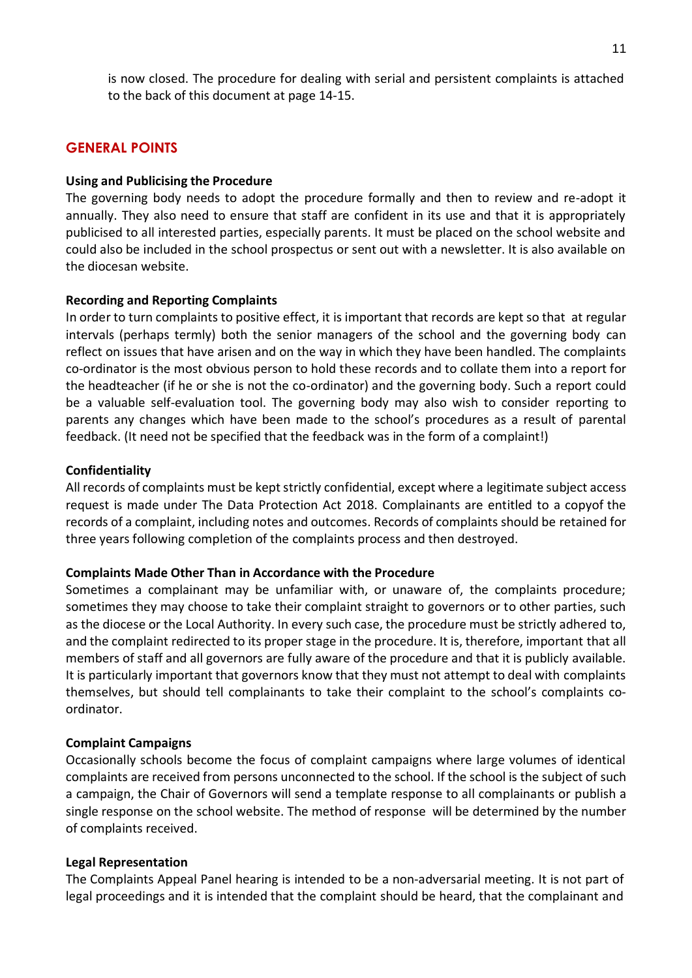is now closed. The procedure for dealing with serial and persistent complaints is attached to the back of this document at page 14-15.

## **GENERAL POINTS**

#### **Using and Publicising the Procedure**

The governing body needs to adopt the procedure formally and then to review and re-adopt it annually. They also need to ensure that staff are confident in its use and that it is appropriately publicised to all interested parties, especially parents. It must be placed on the school website and could also be included in the school prospectus or sent out with a newsletter. It is also available on the diocesan website.

#### **Recording and Reporting Complaints**

In order to turn complaints to positive effect, it is important that records are kept so that at regular intervals (perhaps termly) both the senior managers of the school and the governing body can reflect on issues that have arisen and on the way in which they have been handled. The complaints co-ordinator is the most obvious person to hold these records and to collate them into a report for the headteacher (if he or she is not the co-ordinator) and the governing body. Such a report could be a valuable self-evaluation tool. The governing body may also wish to consider reporting to parents any changes which have been made to the school's procedures as a result of parental feedback. (It need not be specified that the feedback was in the form of a complaint!)

#### **Confidentiality**

All records of complaints must be kept strictly confidential, except where a legitimate subject access request is made under The Data Protection Act 2018. Complainants are entitled to a copyof the records of a complaint, including notes and outcomes. Records of complaints should be retained for three years following completion of the complaints process and then destroyed.

#### **Complaints Made Other Than in Accordance with the Procedure**

Sometimes a complainant may be unfamiliar with, or unaware of, the complaints procedure; sometimes they may choose to take their complaint straight to governors or to other parties, such as the diocese or the Local Authority. In every such case, the procedure must be strictly adhered to, and the complaint redirected to its proper stage in the procedure. It is, therefore, important that all members of staff and all governors are fully aware of the procedure and that it is publicly available. It is particularly important that governors know that they must not attempt to deal with complaints themselves, but should tell complainants to take their complaint to the school's complaints coordinator.

#### **Complaint Campaigns**

Occasionally schools become the focus of complaint campaigns where large volumes of identical complaints are received from persons unconnected to the school. If the school is the subject of such a campaign, the Chair of Governors will send a template response to all complainants or publish a single response on the school website. The method of response will be determined by the number of complaints received.

#### **Legal Representation**

The Complaints Appeal Panel hearing is intended to be a non-adversarial meeting. It is not part of legal proceedings and it is intended that the complaint should be heard, that the complainant and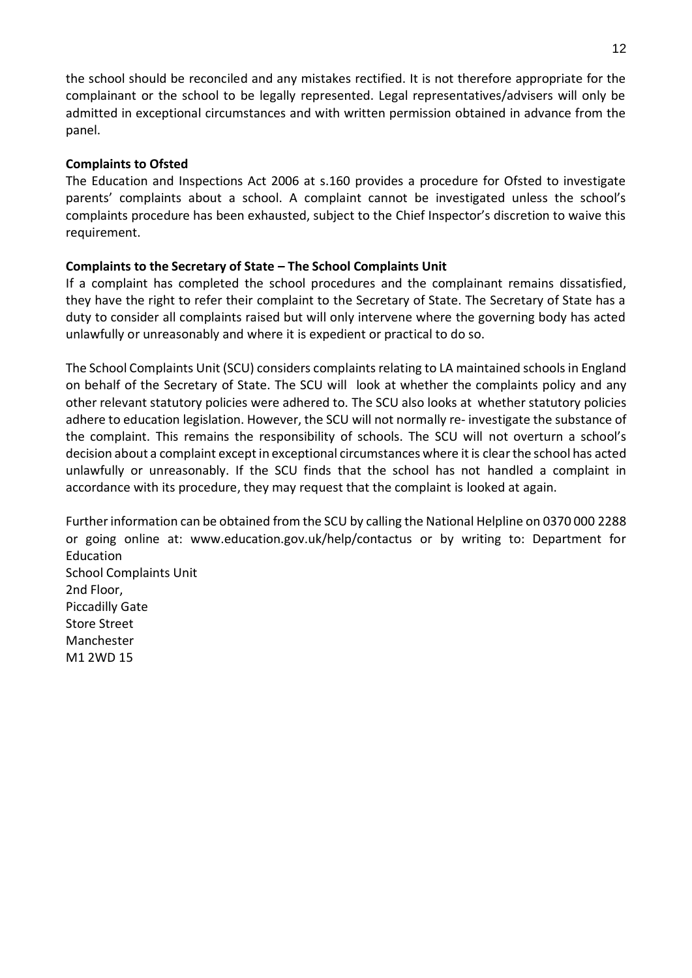the school should be reconciled and any mistakes rectified. It is not therefore appropriate for the complainant or the school to be legally represented. Legal representatives/advisers will only be admitted in exceptional circumstances and with written permission obtained in advance from the panel.

## **Complaints to Ofsted**

The Education and Inspections Act 2006 at s.160 provides a procedure for Ofsted to investigate parents' complaints about a school. A complaint cannot be investigated unless the school's complaints procedure has been exhausted, subject to the Chief Inspector's discretion to waive this requirement.

## **Complaints to the Secretary of State – The School Complaints Unit**

If a complaint has completed the school procedures and the complainant remains dissatisfied, they have the right to refer their complaint to the Secretary of State. The Secretary of State has a duty to consider all complaints raised but will only intervene where the governing body has acted unlawfully or unreasonably and where it is expedient or practical to do so.

The School Complaints Unit (SCU) considers complaints relating to LA maintained schools in England on behalf of the Secretary of State. The SCU will look at whether the complaints policy and any other relevant statutory policies were adhered to. The SCU also looks at whether statutory policies adhere to education legislation. However, the SCU will not normally re- investigate the substance of the complaint. This remains the responsibility of schools. The SCU will not overturn a school's decision about a complaint except in exceptional circumstances where it is clear the school has acted unlawfully or unreasonably. If the SCU finds that the school has not handled a complaint in accordance with its procedure, they may request that the complaint is looked at again.

Further information can be obtained from the SCU by calling the National Helpline on 0370 000 2288 or going online at: [www.education.gov.uk/help/contactus o](http://www.education.gov.uk/help/contactus)r by writing to: Department for Education School Complaints Unit 2nd Floor, Piccadilly Gate Store Street Manchester M1 2WD 15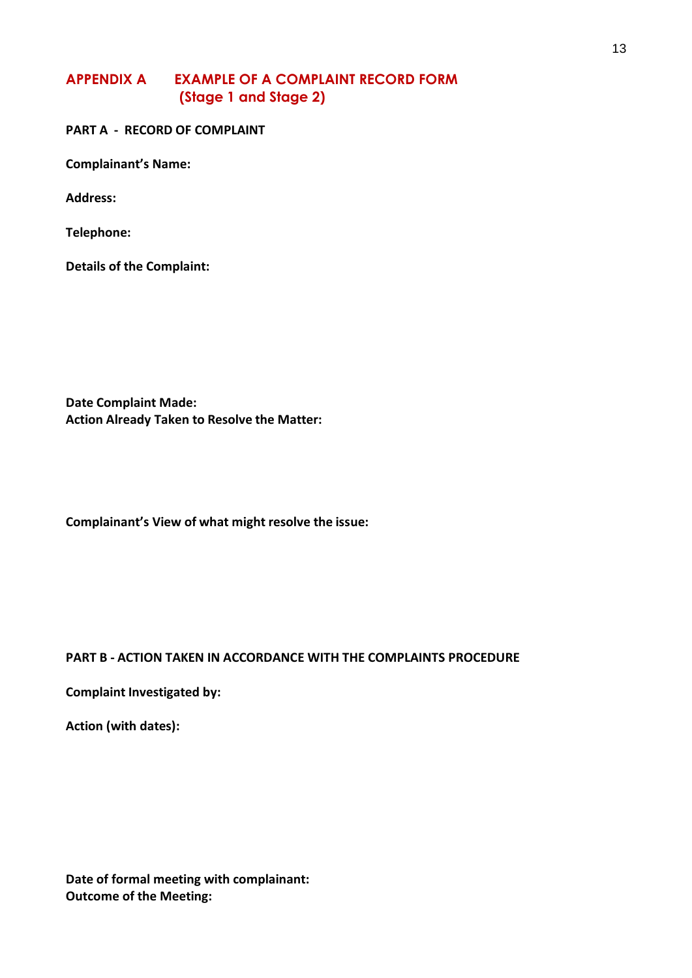## **APPENDIX A EXAMPLE OF A COMPLAINT RECORD FORM (Stage 1 and Stage 2)**

**PART A - RECORD OF COMPLAINT**

**Complainant's Name:**

**Address:**

**Telephone:**

**Details of the Complaint:**

**Date Complaint Made: Action Already Taken to Resolve the Matter:**

**Complainant's View of what might resolve the issue:**

## **PART B - ACTION TAKEN IN ACCORDANCE WITH THE COMPLAINTS PROCEDURE**

**Complaint Investigated by:**

**Action (with dates):**

**Date of formal meeting with complainant: Outcome of the Meeting:**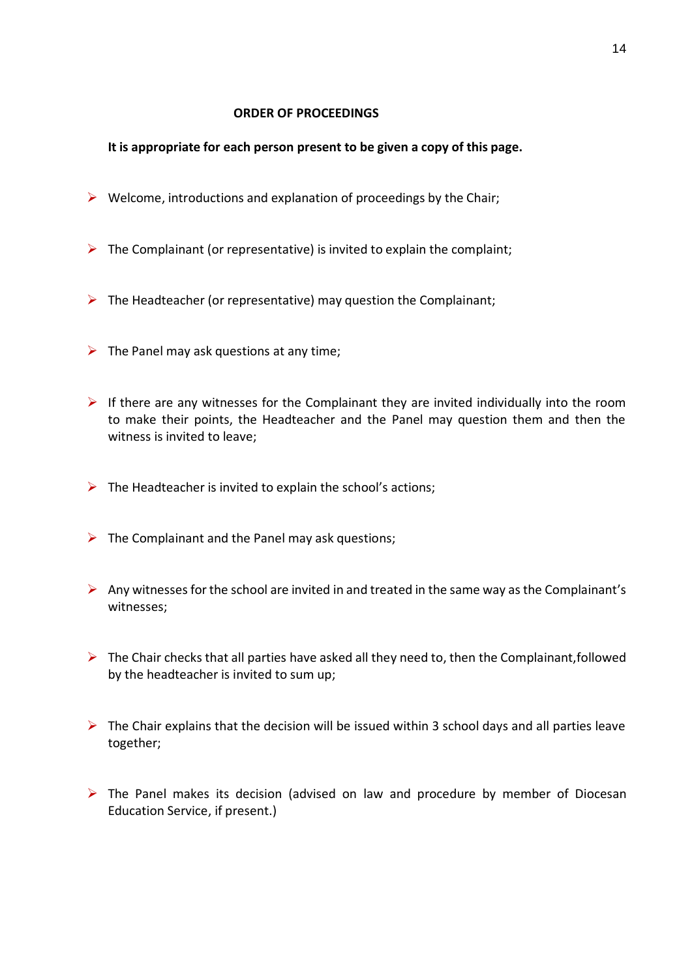#### **ORDER OF PROCEEDINGS**

## **It is appropriate for each person present to be given a copy of this page.**

- $\triangleright$  Welcome, introductions and explanation of proceedings by the Chair;
- $\triangleright$  The Complainant (or representative) is invited to explain the complaint;
- $\triangleright$  The Headteacher (or representative) may question the Complainant;
- $\triangleright$  The Panel may ask questions at any time;
- $\triangleright$  If there are any witnesses for the Complainant they are invited individually into the room to make their points, the Headteacher and the Panel may question them and then the witness is invited to leave;
- $\triangleright$  The Headteacher is invited to explain the school's actions;
- $\triangleright$  The Complainant and the Panel may ask questions;
- $\triangleright$  Any witnesses for the school are invited in and treated in the same way as the Complainant's witnesses;
- $\triangleright$  The Chair checks that all parties have asked all they need to, then the Complainant, followed by the headteacher is invited to sum up;
- $\triangleright$  The Chair explains that the decision will be issued within 3 school days and all parties leave together;
- $\triangleright$  The Panel makes its decision (advised on law and procedure by member of Diocesan Education Service, if present.)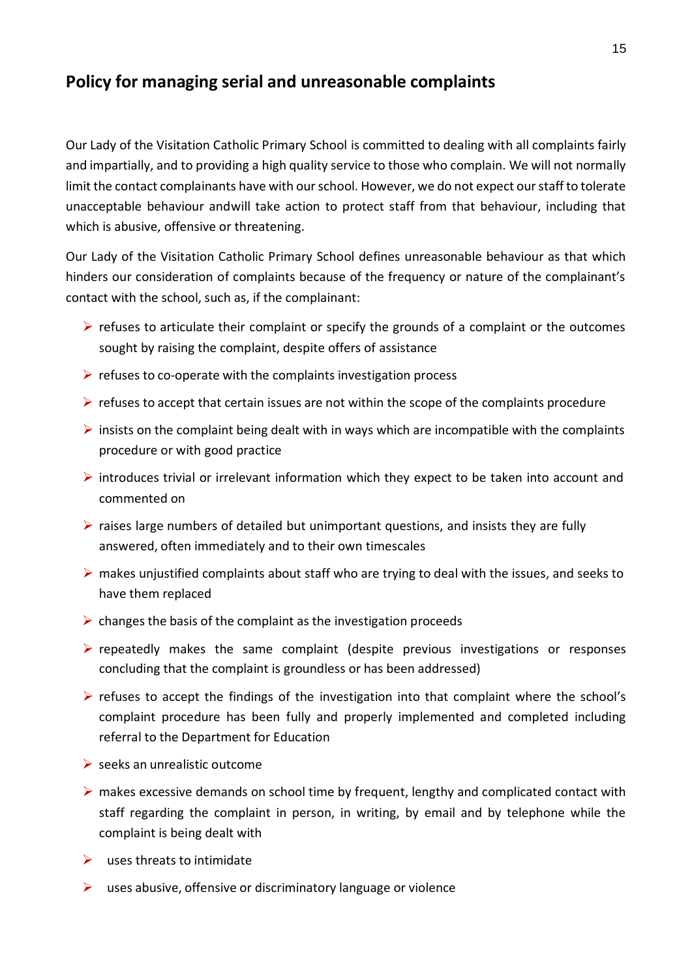## **Policy for managing serial and unreasonable complaints**

Our Lady of the Visitation Catholic Primary School is committed to dealing with all complaints fairly and impartially, and to providing a high quality service to those who complain. We will not normally limit the contact complainants have with our school. However, we do not expect our staff to tolerate unacceptable behaviour andwill take action to protect staff from that behaviour, including that which is abusive, offensive or threatening.

Our Lady of the Visitation Catholic Primary School defines unreasonable behaviour as that which hinders our consideration of complaints because of the frequency or nature of the complainant's contact with the school, such as, if the complainant:

- $\triangleright$  refuses to articulate their complaint or specify the grounds of a complaint or the outcomes sought by raising the complaint, despite offers of assistance
- $\triangleright$  refuses to co-operate with the complaints investigation process
- $\triangleright$  refuses to accept that certain issues are not within the scope of the complaints procedure
- $\triangleright$  insists on the complaint being dealt with in ways which are incompatible with the complaints procedure or with good practice
- $\triangleright$  introduces trivial or irrelevant information which they expect to be taken into account and commented on
- $\triangleright$  raises large numbers of detailed but unimportant questions, and insists they are fully answered, often immediately and to their own timescales
- $\triangleright$  makes unjustified complaints about staff who are trying to deal with the issues, and seeks to have them replaced
- $\triangleright$  changes the basis of the complaint as the investigation proceeds
- $\triangleright$  repeatedly makes the same complaint (despite previous investigations or responses concluding that the complaint is groundless or has been addressed)
- $\triangleright$  refuses to accept the findings of the investigation into that complaint where the school's complaint procedure has been fully and properly implemented and completed including referral to the Department for Education
- $\triangleright$  seeks an unrealistic outcome
- $\triangleright$  makes excessive demands on school time by frequent, lengthy and complicated contact with staff regarding the complaint in person, in writing, by email and by telephone while the complaint is being dealt with
- $\triangleright$  uses threats to intimidate
- $\triangleright$  uses abusive, offensive or discriminatory language or violence